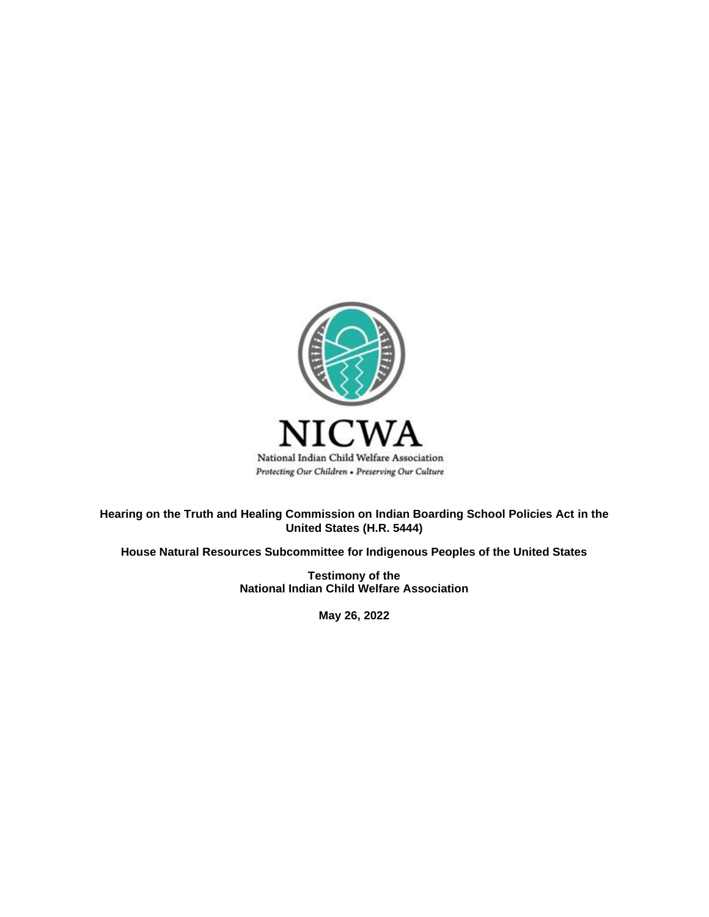

**Hearing on the Truth and Healing Commission on Indian Boarding School Policies Act in the United States (H.R. 5444)**

**House Natural Resources Subcommittee for Indigenous Peoples of the United States** 

**Testimony of the National Indian Child Welfare Association**

**May 26, 2022**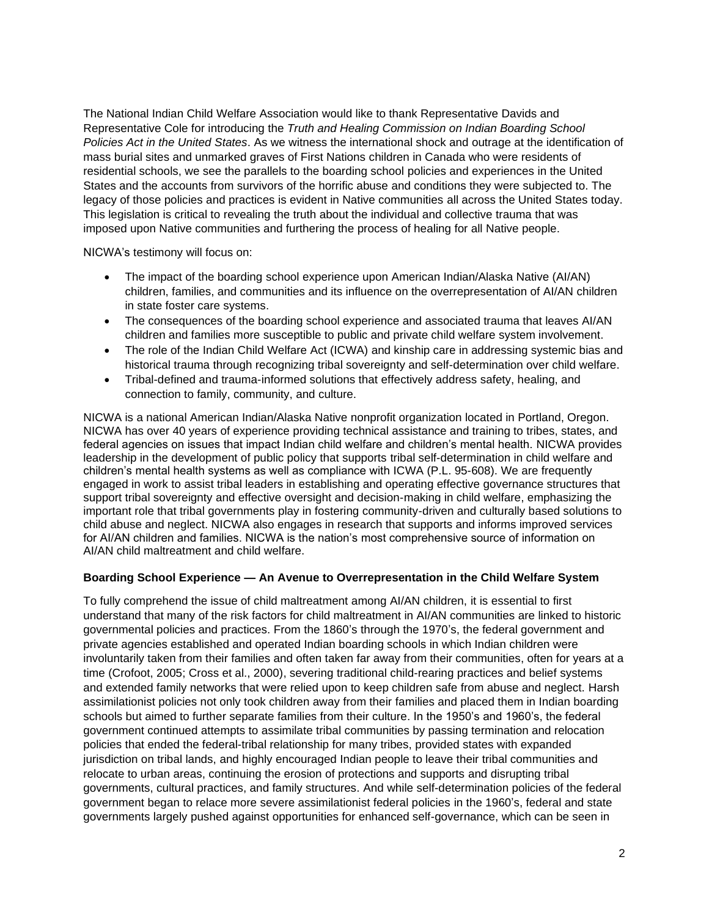The National Indian Child Welfare Association would like to thank Representative Davids and Representative Cole for introducing the *Truth and Healing Commission on Indian Boarding School Policies Act in the United States*. As we witness the international shock and outrage at the identification of mass burial sites and unmarked graves of First Nations children in Canada who were residents of residential schools, we see the parallels to the boarding school policies and experiences in the United States and the accounts from survivors of the horrific abuse and conditions they were subjected to. The legacy of those policies and practices is evident in Native communities all across the United States today. This legislation is critical to revealing the truth about the individual and collective trauma that was imposed upon Native communities and furthering the process of healing for all Native people.

NICWA's testimony will focus on:

- The impact of the boarding school experience upon American Indian/Alaska Native (AI/AN) children, families, and communities and its influence on the overrepresentation of AI/AN children in state foster care systems.
- The consequences of the boarding school experience and associated trauma that leaves AI/AN children and families more susceptible to public and private child welfare system involvement.
- The role of the Indian Child Welfare Act (ICWA) and kinship care in addressing systemic bias and historical trauma through recognizing tribal sovereignty and self-determination over child welfare.
- Tribal-defined and trauma-informed solutions that effectively address safety, healing, and connection to family, community, and culture.

NICWA is a national American Indian/Alaska Native nonprofit organization located in Portland, Oregon. NICWA has over 40 years of experience providing technical assistance and training to tribes, states, and federal agencies on issues that impact Indian child welfare and children's mental health. NICWA provides leadership in the development of public policy that supports tribal self-determination in child welfare and children's mental health systems as well as compliance with ICWA (P.L. 95-608). We are frequently engaged in work to assist tribal leaders in establishing and operating effective governance structures that support tribal sovereignty and effective oversight and decision-making in child welfare, emphasizing the important role that tribal governments play in fostering community-driven and culturally based solutions to child abuse and neglect. NICWA also engages in research that supports and informs improved services for AI/AN children and families. NICWA is the nation's most comprehensive source of information on AI/AN child maltreatment and child welfare.

# **Boarding School Experience — An Avenue to Overrepresentation in the Child Welfare System**

To fully comprehend the issue of child maltreatment among AI/AN children, it is essential to first understand that many of the risk factors for child maltreatment in AI/AN communities are linked to historic governmental policies and practices. From the 1860's through the 1970's, the federal government and private agencies established and operated Indian boarding schools in which Indian children were involuntarily taken from their families and often taken far away from their communities, often for years at a time (Crofoot, 2005; Cross et al., 2000), severing traditional child-rearing practices and belief systems and extended family networks that were relied upon to keep children safe from abuse and neglect. Harsh assimilationist policies not only took children away from their families and placed them in Indian boarding schools but aimed to further separate families from their culture. In the 1950's and 1960's, the federal government continued attempts to assimilate tribal communities by passing termination and relocation policies that ended the federal-tribal relationship for many tribes, provided states with expanded jurisdiction on tribal lands, and highly encouraged Indian people to leave their tribal communities and relocate to urban areas, continuing the erosion of protections and supports and disrupting tribal governments, cultural practices, and family structures. And while self-determination policies of the federal government began to relace more severe assimilationist federal policies in the 1960's, federal and state governments largely pushed against opportunities for enhanced self-governance, which can be seen in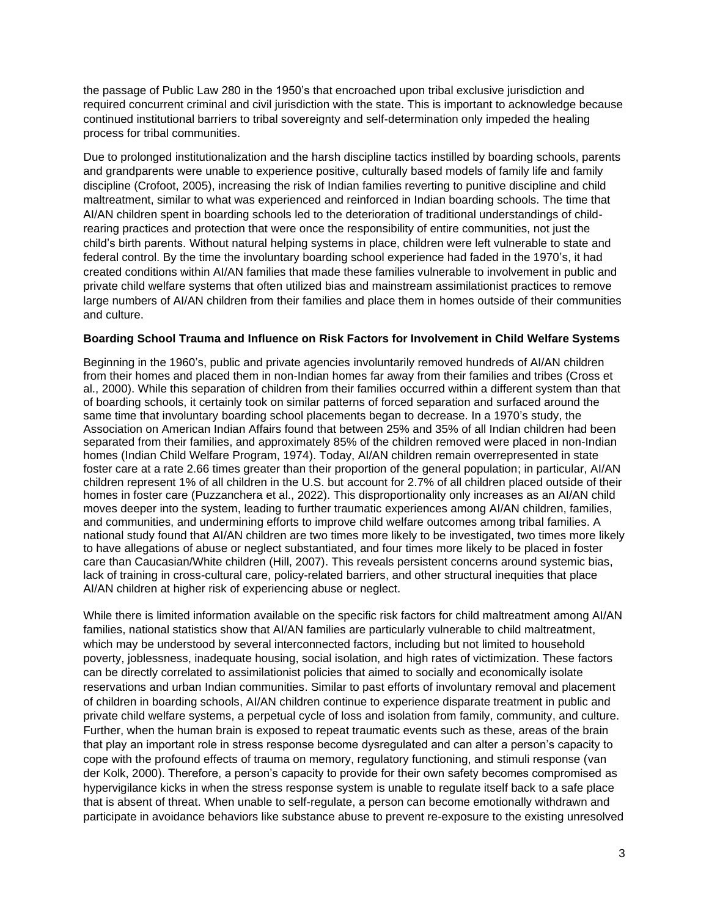the passage of Public Law 280 in the 1950's that encroached upon tribal exclusive jurisdiction and required concurrent criminal and civil jurisdiction with the state. This is important to acknowledge because continued institutional barriers to tribal sovereignty and self-determination only impeded the healing process for tribal communities.

Due to prolonged institutionalization and the harsh discipline tactics instilled by boarding schools, parents and grandparents were unable to experience positive, culturally based models of family life and family discipline (Crofoot, 2005), increasing the risk of Indian families reverting to punitive discipline and child maltreatment, similar to what was experienced and reinforced in Indian boarding schools. The time that AI/AN children spent in boarding schools led to the deterioration of traditional understandings of childrearing practices and protection that were once the responsibility of entire communities, not just the child's birth parents. Without natural helping systems in place, children were left vulnerable to state and federal control. By the time the involuntary boarding school experience had faded in the 1970's, it had created conditions within AI/AN families that made these families vulnerable to involvement in public and private child welfare systems that often utilized bias and mainstream assimilationist practices to remove large numbers of AI/AN children from their families and place them in homes outside of their communities and culture.

## **Boarding School Trauma and Influence on Risk Factors for Involvement in Child Welfare Systems**

Beginning in the 1960's, public and private agencies involuntarily removed hundreds of AI/AN children from their homes and placed them in non-Indian homes far away from their families and tribes (Cross et al., 2000). While this separation of children from their families occurred within a different system than that of boarding schools, it certainly took on similar patterns of forced separation and surfaced around the same time that involuntary boarding school placements began to decrease. In a 1970's study, the Association on American Indian Affairs found that between 25% and 35% of all Indian children had been separated from their families, and approximately 85% of the children removed were placed in non-Indian homes (Indian Child Welfare Program, 1974). Today, AI/AN children remain overrepresented in state foster care at a rate 2.66 times greater than their proportion of the general population; in particular, AI/AN children represent 1% of all children in the U.S. but account for 2.7% of all children placed outside of their homes in foster care (Puzzanchera et al., 2022). This disproportionality only increases as an AI/AN child moves deeper into the system, leading to further traumatic experiences among AI/AN children, families, and communities, and undermining efforts to improve child welfare outcomes among tribal families. A national study found that AI/AN children are two times more likely to be investigated, two times more likely to have allegations of abuse or neglect substantiated, and four times more likely to be placed in foster care than Caucasian/White children (Hill, 2007). This reveals persistent concerns around systemic bias, lack of training in cross-cultural care, policy-related barriers, and other structural inequities that place AI/AN children at higher risk of experiencing abuse or neglect.

While there is limited information available on the specific risk factors for child maltreatment among AI/AN families, national statistics show that AI/AN families are particularly vulnerable to child maltreatment, which may be understood by several interconnected factors, including but not limited to household poverty, joblessness, inadequate housing, social isolation, and high rates of victimization. These factors can be directly correlated to assimilationist policies that aimed to socially and economically isolate reservations and urban Indian communities. Similar to past efforts of involuntary removal and placement of children in boarding schools, AI/AN children continue to experience disparate treatment in public and private child welfare systems, a perpetual cycle of loss and isolation from family, community, and culture. Further, when the human brain is exposed to repeat traumatic events such as these, areas of the brain that play an important role in stress response become dysregulated and can alter a person's capacity to cope with the profound effects of trauma on memory, regulatory functioning, and stimuli response (van der Kolk, 2000). Therefore, a person's capacity to provide for their own safety becomes compromised as hypervigilance kicks in when the stress response system is unable to regulate itself back to a safe place that is absent of threat. When unable to self-regulate, a person can become emotionally withdrawn and participate in avoidance behaviors like substance abuse to prevent re-exposure to the existing unresolved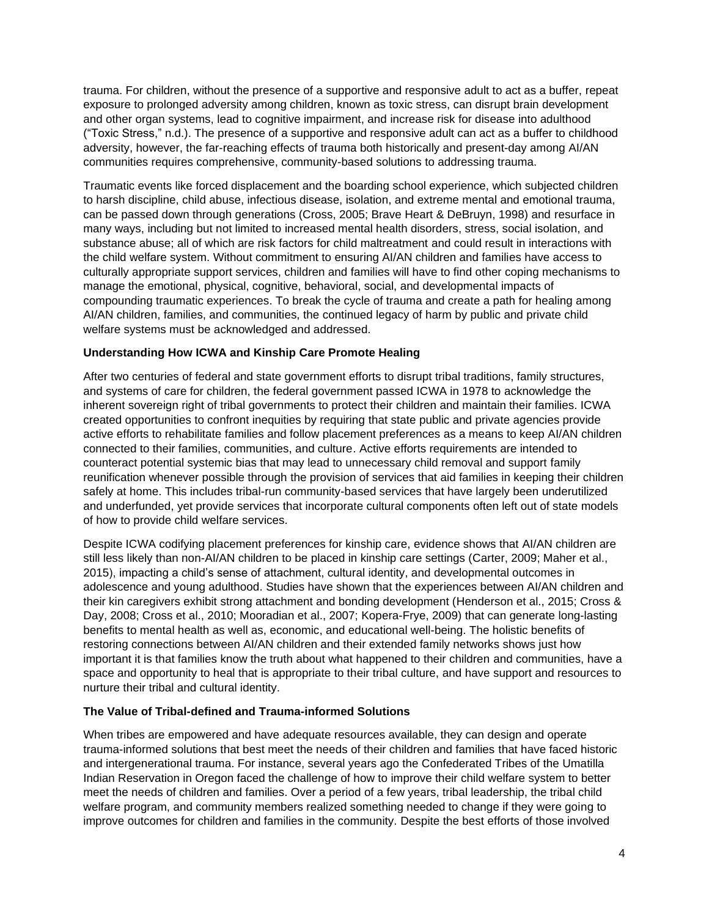trauma. For children, without the presence of a supportive and responsive adult to act as a buffer, repeat exposure to prolonged adversity among children, known as toxic stress, can disrupt brain development and other organ systems, lead to cognitive impairment, and increase risk for disease into adulthood ("Toxic Stress," n.d.). The presence of a supportive and responsive adult can act as a buffer to childhood adversity, however, the far-reaching effects of trauma both historically and present-day among AI/AN communities requires comprehensive, community-based solutions to addressing trauma.

Traumatic events like forced displacement and the boarding school experience, which subjected children to harsh discipline, child abuse, infectious disease, isolation, and extreme mental and emotional trauma, can be passed down through generations (Cross, 2005; Brave Heart & DeBruyn, 1998) and resurface in many ways, including but not limited to increased mental health disorders, stress, social isolation, and substance abuse; all of which are risk factors for child maltreatment and could result in interactions with the child welfare system. Without commitment to ensuring AI/AN children and families have access to culturally appropriate support services, children and families will have to find other coping mechanisms to manage the emotional, physical, cognitive, behavioral, social, and developmental impacts of compounding traumatic experiences. To break the cycle of trauma and create a path for healing among AI/AN children, families, and communities, the continued legacy of harm by public and private child welfare systems must be acknowledged and addressed.

# **Understanding How ICWA and Kinship Care Promote Healing**

After two centuries of federal and state government efforts to disrupt tribal traditions, family structures, and systems of care for children, the federal government passed ICWA in 1978 to acknowledge the inherent sovereign right of tribal governments to protect their children and maintain their families. ICWA created opportunities to confront inequities by requiring that state public and private agencies provide active efforts to rehabilitate families and follow placement preferences as a means to keep AI/AN children connected to their families, communities, and culture. Active efforts requirements are intended to counteract potential systemic bias that may lead to unnecessary child removal and support family reunification whenever possible through the provision of services that aid families in keeping their children safely at home. This includes tribal-run community-based services that have largely been underutilized and underfunded, yet provide services that incorporate cultural components often left out of state models of how to provide child welfare services.

Despite ICWA codifying placement preferences for kinship care, evidence shows that AI/AN children are still less likely than non-AI/AN children to be placed in kinship care settings (Carter, 2009; Maher et al., 2015), impacting a child's sense of attachment, cultural identity, and developmental outcomes in adolescence and young adulthood. Studies have shown that the experiences between AI/AN children and their kin caregivers exhibit strong attachment and bonding development (Henderson et al., 2015; Cross & Day, 2008; Cross et al., 2010; Mooradian et al., 2007; Kopera-Frye, 2009) that can generate long-lasting benefits to mental health as well as, economic, and educational well-being. The holistic benefits of restoring connections between AI/AN children and their extended family networks shows just how important it is that families know the truth about what happened to their children and communities, have a space and opportunity to heal that is appropriate to their tribal culture, and have support and resources to nurture their tribal and cultural identity.

## **The Value of Tribal-defined and Trauma-informed Solutions**

When tribes are empowered and have adequate resources available, they can design and operate trauma-informed solutions that best meet the needs of their children and families that have faced historic and intergenerational trauma. For instance, several years ago the Confederated Tribes of the Umatilla Indian Reservation in Oregon faced the challenge of how to improve their child welfare system to better meet the needs of children and families. Over a period of a few years, tribal leadership, the tribal child welfare program, and community members realized something needed to change if they were going to improve outcomes for children and families in the community. Despite the best efforts of those involved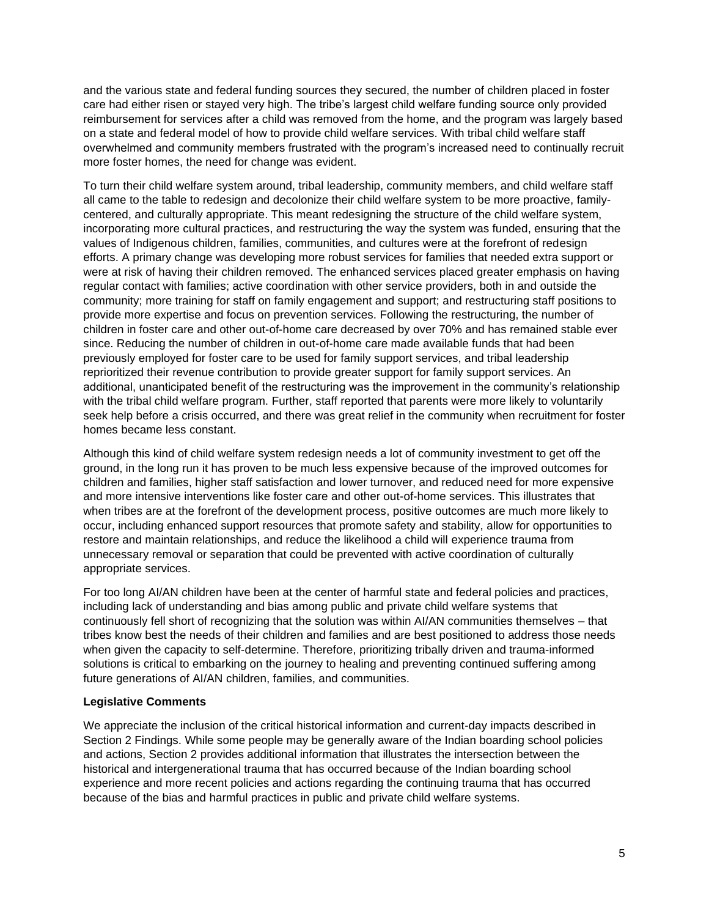and the various state and federal funding sources they secured, the number of children placed in foster care had either risen or stayed very high. The tribe's largest child welfare funding source only provided reimbursement for services after a child was removed from the home, and the program was largely based on a state and federal model of how to provide child welfare services. With tribal child welfare staff overwhelmed and community members frustrated with the program's increased need to continually recruit more foster homes, the need for change was evident.

To turn their child welfare system around, tribal leadership, community members, and child welfare staff all came to the table to redesign and decolonize their child welfare system to be more proactive, familycentered, and culturally appropriate. This meant redesigning the structure of the child welfare system, incorporating more cultural practices, and restructuring the way the system was funded, ensuring that the values of Indigenous children, families, communities, and cultures were at the forefront of redesign efforts. A primary change was developing more robust services for families that needed extra support or were at risk of having their children removed. The enhanced services placed greater emphasis on having regular contact with families; active coordination with other service providers, both in and outside the community; more training for staff on family engagement and support; and restructuring staff positions to provide more expertise and focus on prevention services. Following the restructuring, the number of children in foster care and other out-of-home care decreased by over 70% and has remained stable ever since. Reducing the number of children in out-of-home care made available funds that had been previously employed for foster care to be used for family support services, and tribal leadership reprioritized their revenue contribution to provide greater support for family support services. An additional, unanticipated benefit of the restructuring was the improvement in the community's relationship with the tribal child welfare program. Further, staff reported that parents were more likely to voluntarily seek help before a crisis occurred, and there was great relief in the community when recruitment for foster homes became less constant.

Although this kind of child welfare system redesign needs a lot of community investment to get off the ground, in the long run it has proven to be much less expensive because of the improved outcomes for children and families, higher staff satisfaction and lower turnover, and reduced need for more expensive and more intensive interventions like foster care and other out-of-home services. This illustrates that when tribes are at the forefront of the development process, positive outcomes are much more likely to occur, including enhanced support resources that promote safety and stability, allow for opportunities to restore and maintain relationships, and reduce the likelihood a child will experience trauma from unnecessary removal or separation that could be prevented with active coordination of culturally appropriate services.

For too long AI/AN children have been at the center of harmful state and federal policies and practices, including lack of understanding and bias among public and private child welfare systems that continuously fell short of recognizing that the solution was within AI/AN communities themselves – that tribes know best the needs of their children and families and are best positioned to address those needs when given the capacity to self-determine. Therefore, prioritizing tribally driven and trauma-informed solutions is critical to embarking on the journey to healing and preventing continued suffering among future generations of AI/AN children, families, and communities.

# **Legislative Comments**

We appreciate the inclusion of the critical historical information and current-day impacts described in Section 2 Findings. While some people may be generally aware of the Indian boarding school policies and actions, Section 2 provides additional information that illustrates the intersection between the historical and intergenerational trauma that has occurred because of the Indian boarding school experience and more recent policies and actions regarding the continuing trauma that has occurred because of the bias and harmful practices in public and private child welfare systems.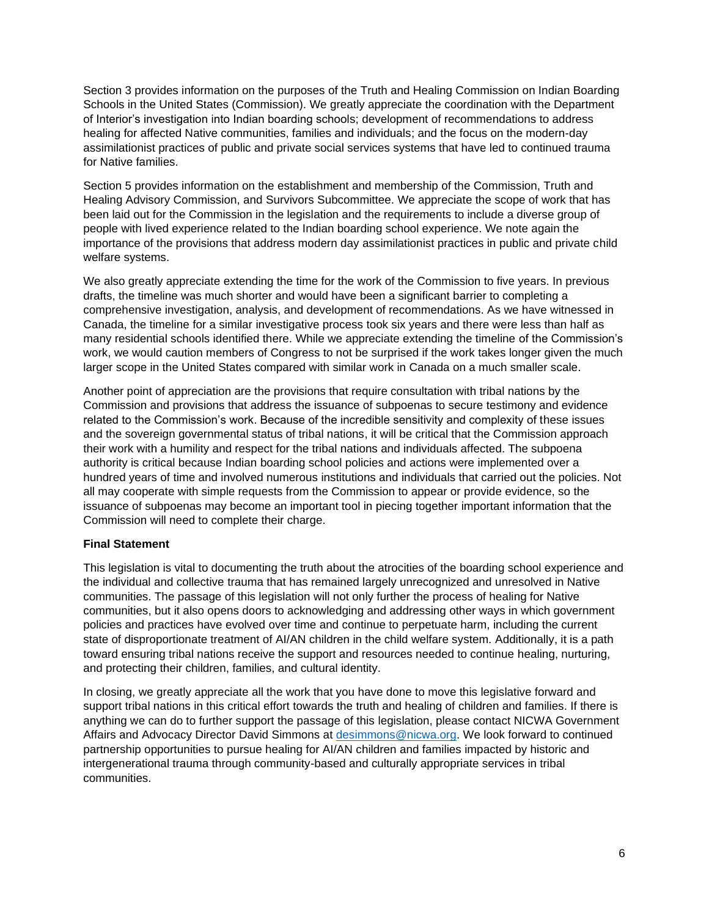Section 3 provides information on the purposes of the Truth and Healing Commission on Indian Boarding Schools in the United States (Commission). We greatly appreciate the coordination with the Department of Interior's investigation into Indian boarding schools; development of recommendations to address healing for affected Native communities, families and individuals; and the focus on the modern-day assimilationist practices of public and private social services systems that have led to continued trauma for Native families.

Section 5 provides information on the establishment and membership of the Commission, Truth and Healing Advisory Commission, and Survivors Subcommittee. We appreciate the scope of work that has been laid out for the Commission in the legislation and the requirements to include a diverse group of people with lived experience related to the Indian boarding school experience. We note again the importance of the provisions that address modern day assimilationist practices in public and private child welfare systems.

We also greatly appreciate extending the time for the work of the Commission to five years. In previous drafts, the timeline was much shorter and would have been a significant barrier to completing a comprehensive investigation, analysis, and development of recommendations. As we have witnessed in Canada, the timeline for a similar investigative process took six years and there were less than half as many residential schools identified there. While we appreciate extending the timeline of the Commission's work, we would caution members of Congress to not be surprised if the work takes longer given the much larger scope in the United States compared with similar work in Canada on a much smaller scale.

Another point of appreciation are the provisions that require consultation with tribal nations by the Commission and provisions that address the issuance of subpoenas to secure testimony and evidence related to the Commission's work. Because of the incredible sensitivity and complexity of these issues and the sovereign governmental status of tribal nations, it will be critical that the Commission approach their work with a humility and respect for the tribal nations and individuals affected. The subpoena authority is critical because Indian boarding school policies and actions were implemented over a hundred years of time and involved numerous institutions and individuals that carried out the policies. Not all may cooperate with simple requests from the Commission to appear or provide evidence, so the issuance of subpoenas may become an important tool in piecing together important information that the Commission will need to complete their charge.

# **Final Statement**

This legislation is vital to documenting the truth about the atrocities of the boarding school experience and the individual and collective trauma that has remained largely unrecognized and unresolved in Native communities. The passage of this legislation will not only further the process of healing for Native communities, but it also opens doors to acknowledging and addressing other ways in which government policies and practices have evolved over time and continue to perpetuate harm, including the current state of disproportionate treatment of AI/AN children in the child welfare system. Additionally, it is a path toward ensuring tribal nations receive the support and resources needed to continue healing, nurturing, and protecting their children, families, and cultural identity.

In closing, we greatly appreciate all the work that you have done to move this legislative forward and support tribal nations in this critical effort towards the truth and healing of children and families. If there is anything we can do to further support the passage of this legislation, please contact NICWA Government Affairs and Advocacy Director David Simmons at [desimmons@nicwa.org.](mailto:desimmons@nicwa.org) We look forward to continued partnership opportunities to pursue healing for AI/AN children and families impacted by historic and intergenerational trauma through community-based and culturally appropriate services in tribal communities.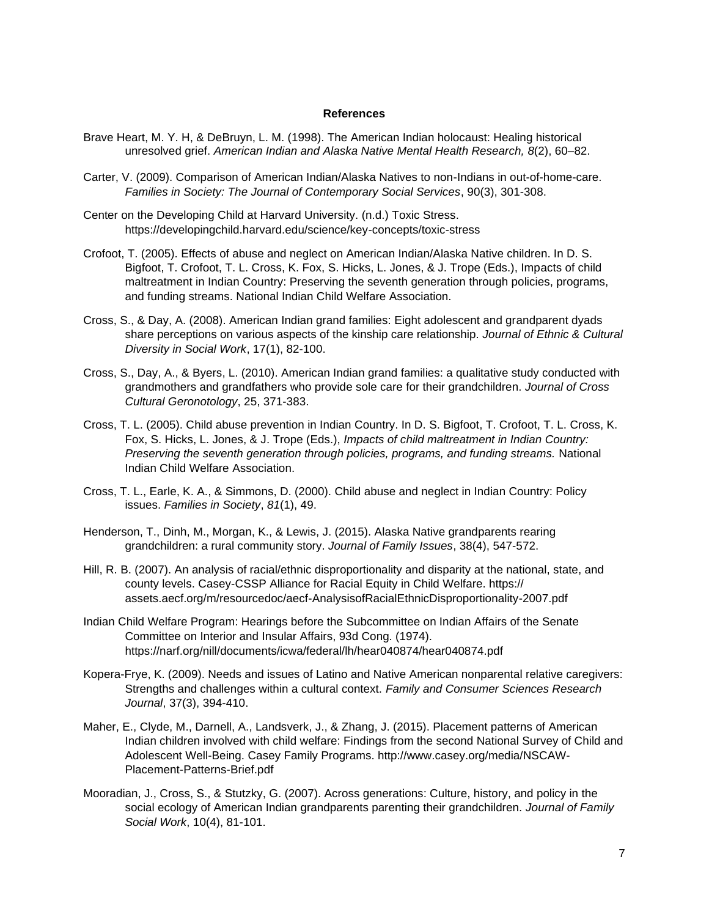### **References**

- Brave Heart, M. Y. H, & DeBruyn, L. M. (1998). The American Indian holocaust: Healing historical unresolved grief. *American Indian and Alaska Native Mental Health Research, 8*(2), 60–82.
- Carter, V. (2009). Comparison of American Indian/Alaska Natives to non-Indians in out-of-home-care. *Families in Society: The Journal of Contemporary Social Services*, 90(3), 301-308.
- Center on the Developing Child at Harvard University. (n.d.) Toxic Stress. https://developingchild.harvard.edu/science/key-concepts/toxic-stress
- Crofoot, T. (2005). Effects of abuse and neglect on American Indian/Alaska Native children. In D. S. Bigfoot, T. Crofoot, T. L. Cross, K. Fox, S. Hicks, L. Jones, & J. Trope (Eds.), Impacts of child maltreatment in Indian Country: Preserving the seventh generation through policies, programs, and funding streams. National Indian Child Welfare Association.
- Cross, S., & Day, A. (2008). American Indian grand families: Eight adolescent and grandparent dyads share perceptions on various aspects of the kinship care relationship. *Journal of Ethnic & Cultural Diversity in Social Work*, 17(1), 82-100.
- Cross, S., Day, A., & Byers, L. (2010). American Indian grand families: a qualitative study conducted with grandmothers and grandfathers who provide sole care for their grandchildren. *Journal of Cross Cultural Geronotology*, 25, 371-383.
- Cross, T. L. (2005). Child abuse prevention in Indian Country. In D. S. Bigfoot, T. Crofoot, T. L. Cross, K. Fox, S. Hicks, L. Jones, & J. Trope (Eds.), *Impacts of child maltreatment in Indian Country: Preserving the seventh generation through policies, programs, and funding streams.* National Indian Child Welfare Association.
- Cross, T. L., Earle, K. A., & Simmons, D. (2000). Child abuse and neglect in Indian Country: Policy issues. *Families in Society*, *81*(1), 49.
- Henderson, T., Dinh, M., Morgan, K., & Lewis, J. (2015). Alaska Native grandparents rearing grandchildren: a rural community story. *Journal of Family Issues*, 38(4), 547-572.
- Hill, R. B. (2007). An analysis of racial/ethnic disproportionality and disparity at the national, state, and county levels. Casey-CSSP Alliance for Racial Equity in Child Welfare. https:// assets.aecf.org/m/resourcedoc/aecf-AnalysisofRacialEthnicDisproportionality-2007.pdf
- Indian Child Welfare Program: Hearings before the Subcommittee on Indian Affairs of the Senate Committee on Interior and Insular Affairs, 93d Cong. (1974). https://narf.org/nill/documents/icwa/federal/lh/hear040874/hear040874.pdf
- Kopera-Frye, K. (2009). Needs and issues of Latino and Native American nonparental relative caregivers: Strengths and challenges within a cultural context. *Family and Consumer Sciences Research Journal*, 37(3), 394-410.
- Maher, E., Clyde, M., Darnell, A., Landsverk, J., & Zhang, J. (2015). Placement patterns of American Indian children involved with child welfare: Findings from the second National Survey of Child and Adolescent Well-Being. Casey Family Programs. http://www.casey.org/media/NSCAW-Placement-Patterns-Brief.pdf
- Mooradian, J., Cross, S., & Stutzky, G. (2007). Across generations: Culture, history, and policy in the social ecology of American Indian grandparents parenting their grandchildren. *Journal of Family Social Work*, 10(4), 81-101.